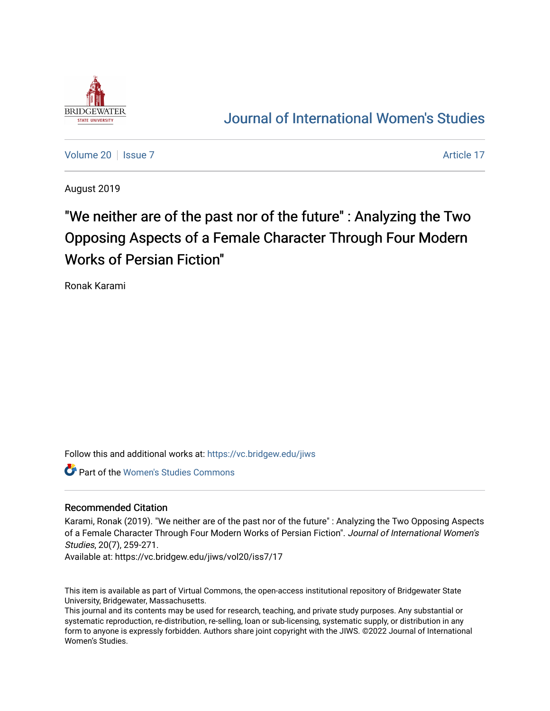

## [Journal of International Women's Studies](https://vc.bridgew.edu/jiws)

[Volume 20](https://vc.bridgew.edu/jiws/vol20) | [Issue 7](https://vc.bridgew.edu/jiws/vol20/iss7) Article 17

August 2019

# "We neither are of the past nor of the future" : Analyzing the Two Opposing Aspects of a Female Character Through Four Modern Works of Persian Fiction"

Ronak Karami

Follow this and additional works at: [https://vc.bridgew.edu/jiws](https://vc.bridgew.edu/jiws?utm_source=vc.bridgew.edu%2Fjiws%2Fvol20%2Fiss7%2F17&utm_medium=PDF&utm_campaign=PDFCoverPages)

Part of the [Women's Studies Commons](http://network.bepress.com/hgg/discipline/561?utm_source=vc.bridgew.edu%2Fjiws%2Fvol20%2Fiss7%2F17&utm_medium=PDF&utm_campaign=PDFCoverPages) 

#### Recommended Citation

Karami, Ronak (2019). "We neither are of the past nor of the future" : Analyzing the Two Opposing Aspects of a Female Character Through Four Modern Works of Persian Fiction". Journal of International Women's Studies, 20(7), 259-271.

Available at: https://vc.bridgew.edu/jiws/vol20/iss7/17

This item is available as part of Virtual Commons, the open-access institutional repository of Bridgewater State University, Bridgewater, Massachusetts.

This journal and its contents may be used for research, teaching, and private study purposes. Any substantial or systematic reproduction, re-distribution, re-selling, loan or sub-licensing, systematic supply, or distribution in any form to anyone is expressly forbidden. Authors share joint copyright with the JIWS. ©2022 Journal of International Women's Studies.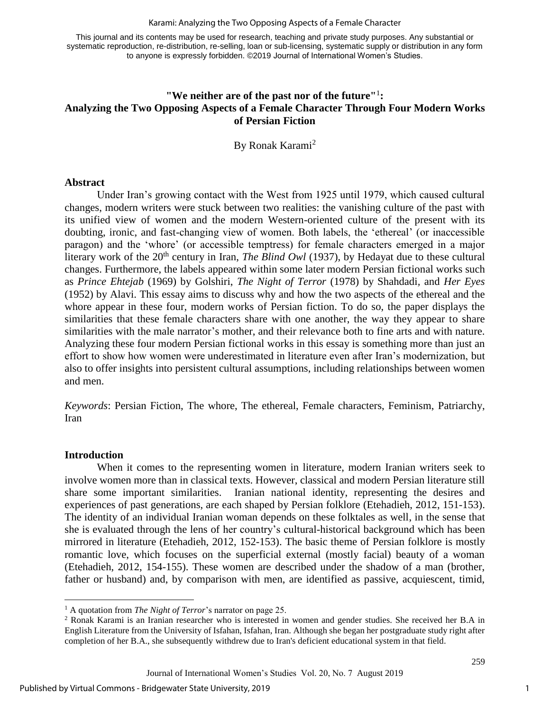#### Karami: Analyzing the Two Opposing Aspects of a Female Character

This journal and its contents may be used for research, teaching and private study purposes. Any substantial or systematic reproduction, re-distribution, re-selling, loan or sub-licensing, systematic supply or distribution in any form to anyone is expressly forbidden. ©2019 Journal of International Women's Studies.

### **"We neither are of the past nor of the future"**<sup>1</sup> **: Analyzing the Two Opposing Aspects of a Female Character Through Four Modern Works of Persian Fiction**

By Ronak Karami<sup>2</sup>

#### **Abstract**

Under Iran's growing contact with the West from 1925 until 1979, which caused cultural changes, modern writers were stuck between two realities: the vanishing culture of the past with its unified view of women and the modern Western-oriented culture of the present with its doubting, ironic, and fast-changing view of women. Both labels, the 'ethereal' (or inaccessible paragon) and the 'whore' (or accessible temptress) for female characters emerged in a major literary work of the 20<sup>th</sup> century in Iran, *The Blind Owl* (1937), by Hedayat due to these cultural changes. Furthermore, the labels appeared within some later modern Persian fictional works such as *Prince Ehtejab* (1969) by Golshiri, *The Night of Terror* (1978) by Shahdadi*,* and *Her Eyes*  (1952) by Alavi. This essay aims to discuss why and how the two aspects of the ethereal and the whore appear in these four, modern works of Persian fiction. To do so, the paper displays the similarities that these female characters share with one another, the way they appear to share similarities with the male narrator's mother, and their relevance both to fine arts and with nature. Analyzing these four modern Persian fictional works in this essay is something more than just an effort to show how women were underestimated in literature even after Iran's modernization, but also to offer insights into persistent cultural assumptions, including relationships between women and men.

*Keywords*: Persian Fiction, The whore, The ethereal, Female characters, Feminism, Patriarchy, Iran

#### **Introduction**

 $\overline{a}$ 

When it comes to the representing women in literature, modern Iranian writers seek to involve women more than in classical texts. However, classical and modern Persian literature still share some important similarities. Iranian national identity, representing the desires and experiences of past generations, are each shaped by Persian folklore (Etehadieh, 2012, 151-153). The identity of an individual Iranian woman depends on these folktales as well, in the sense that she is evaluated through the lens of her country's cultural-historical background which has been mirrored in literature (Etehadieh, 2012, 152-153). The basic theme of Persian folklore is mostly romantic love, which focuses on the superficial external (mostly facial) beauty of a woman (Etehadieh, 2012, 154-155). These women are described under the shadow of a man (brother, father or husband) and, by comparison with men, are identified as passive, acquiescent, timid,

<sup>1</sup> A quotation from *The Night of Terror*'s narrator on page 25.

<sup>2</sup> Ronak Karami is an Iranian researcher who is interested in women and gender studies. She received her B.A in English Literature from the University of Isfahan, Isfahan, Iran. Although she began her postgraduate study right after completion of her B.A., she subsequently withdrew due to Iran's deficient educational system in that field.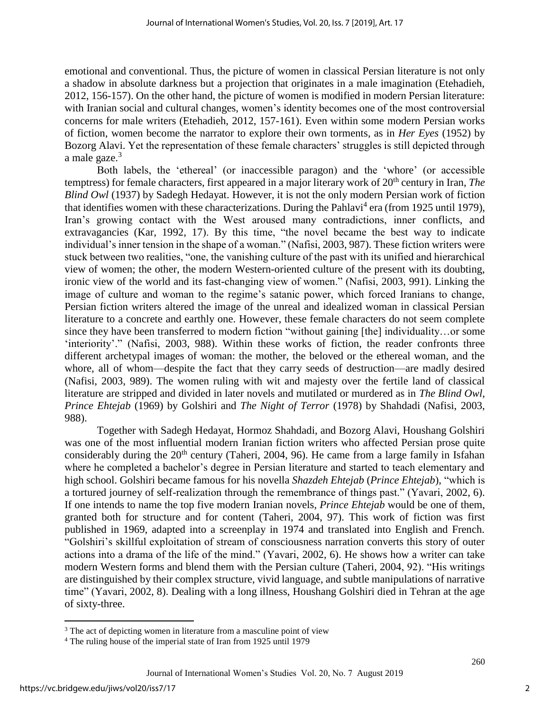emotional and conventional. Thus, the picture of women in classical Persian literature is not only a shadow in absolute darkness but a projection that originates in a male imagination (Etehadieh, 2012, 156-157). On the other hand, the picture of women is modified in modern Persian literature: with Iranian social and cultural changes, women's identity becomes one of the most controversial concerns for male writers (Etehadieh, 2012, 157-161). Even within some modern Persian works of fiction, women become the narrator to explore their own torments, as in *Her Eyes* (1952) by Bozorg Alavi. Yet the representation of these female characters' struggles is still depicted through a male gaze.<sup>3</sup>

Both labels, the 'ethereal' (or inaccessible paragon) and the 'whore' (or accessible temptress) for female characters, first appeared in a major literary work of 20<sup>th</sup> century in Iran, *The Blind Owl* (1937) by Sadegh Hedayat. However, it is not the only modern Persian work of fiction that identifies women with these characterizations. During the Pahlavi<sup>4</sup> era (from 1925 until 1979), Iran's growing contact with the West aroused many contradictions, inner conflicts, and extravagancies (Kar, 1992, 17). By this time, "the novel became the best way to indicate individual's inner tension in the shape of a woman." (Nafisi, 2003, 987). These fiction writers were stuck between two realities, "one, the vanishing culture of the past with its unified and hierarchical view of women; the other, the modern Western-oriented culture of the present with its doubting, ironic view of the world and its fast-changing view of women." (Nafisi, 2003, 991). Linking the image of culture and woman to the regime's satanic power, which forced Iranians to change, Persian fiction writers altered the image of the unreal and idealized woman in classical Persian literature to a concrete and earthly one. However, these female characters do not seem complete since they have been transferred to modern fiction "without gaining [the] individuality…or some 'interiority'." (Nafisi, 2003, 988). Within these works of fiction, the reader confronts three different archetypal images of woman: the mother, the beloved or the ethereal woman, and the whore, all of whom—despite the fact that they carry seeds of destruction—are madly desired (Nafisi, 2003, 989). The women ruling with wit and majesty over the fertile land of classical literature are stripped and divided in later novels and mutilated or murdered as in *The Blind Owl*, *Prince Ehtejab* (1969) by Golshiri and *The Night of Terror* (1978) by Shahdadi (Nafisi, 2003, 988).

Together with Sadegh Hedayat, Hormoz Shahdadi, and Bozorg Alavi, Houshang Golshiri was one of the most influential modern Iranian fiction writers who affected Persian prose quite considerably during the  $20<sup>th</sup>$  century (Taheri, 2004, 96). He came from a large family in Isfahan where he completed a bachelor's degree in Persian literature and started to teach elementary and high school. Golshiri became famous for his novella *Shazdeh Ehtejab* (*Prince Ehtejab*), "which is a tortured journey of self-realization through the remembrance of things past." (Yavari, 2002, 6). If one intends to name the top five modern Iranian novels, *Prince Ehtejab* would be one of them, granted both for structure and for content (Taheri, 2004, 97). This work of fiction was first published in 1969, adapted into a screenplay in 1974 and translated into English and French. "Golshiri's skillful exploitation of stream of consciousness narration converts this story of outer actions into a drama of the life of the mind." (Yavari, 2002, 6). He shows how a writer can take modern Western forms and blend them with the Persian culture (Taheri, 2004, 92). "His writings are distinguished by their complex structure, vivid language, and subtle manipulations of narrative time" (Yavari, 2002, 8). Dealing with a long illness, Houshang Golshiri died in Tehran at the age of sixty-three.

 $\overline{a}$ 

<sup>&</sup>lt;sup>3</sup> The act of depicting women in literature from a masculine point of view

<sup>4</sup> The ruling house of the imperial state of Iran from 1925 until 1979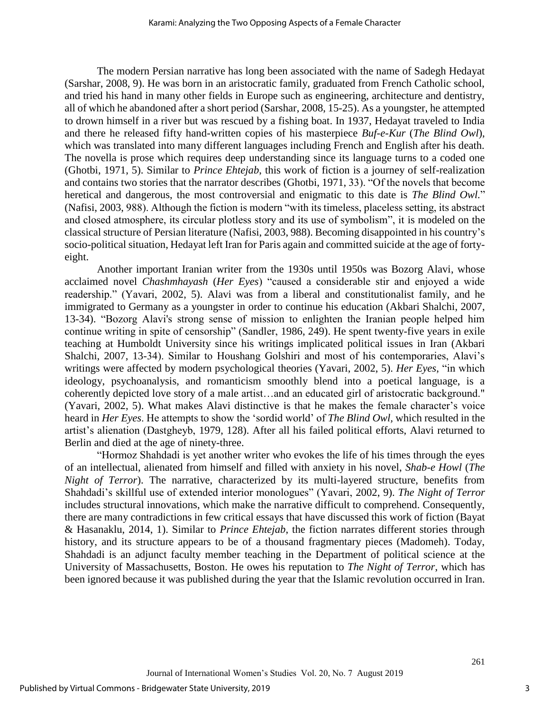The modern Persian narrative has long been associated with the name of Sadegh Hedayat (Sarshar, 2008, 9). He was born in an aristocratic family, graduated from French Catholic school, and tried his hand in many other fields in Europe such as engineering, architecture and dentistry, all of which he abandoned after a short period (Sarshar, 2008, 15-25). As a youngster, he attempted to drown himself in a river but was rescued by a fishing boat. In 1937, Hedayat traveled to India and there he released fifty hand-written copies of his masterpiece *Buf-e-Kur* (*The Blind Owl*), which was translated into many different languages including French and English after his death. The novella is prose which requires deep understanding since its language turns to a coded one (Ghotbi, 1971, 5). Similar to *Prince Ehtejab*, this work of fiction is a journey of self-realization and contains two stories that the narrator describes (Ghotbi, 1971, 33). "Of the novels that become heretical and dangerous, the most controversial and enigmatic to this date is *The Blind Owl.*" (Nafisi, 2003, 988). Although the fiction is modern "with its timeless, placeless setting, its abstract and closed atmosphere, its circular plotless story and its use of symbolism", it is modeled on the classical structure of Persian literature (Nafisi, 2003, 988). Becoming disappointed in his country's socio-political situation, Hedayat left Iran for Paris again and committed suicide at the age of fortyeight.

Another important Iranian writer from the 1930s until 1950s was Bozorg Alavi, whose acclaimed novel *Chashmhayash* (*Her Eyes*) "caused a considerable stir and enjoyed a wide readership." (Yavari, 2002, 5). Alavi was from a liberal and constitutionalist family, and he immigrated to Germany as a youngster in order to continue his education (Akbari Shalchi, 2007, 13-34). "Bozorg Alavi's strong sense of mission to enlighten the Iranian people helped him continue writing in spite of censorship" (Sandler, 1986, 249). He spent twenty-five years in exile teaching at Humboldt University since his writings implicated political issues in Iran (Akbari Shalchi, 2007, 13-34). Similar to Houshang Golshiri and most of his contemporaries, Alavi's writings were affected by modern psychological theories (Yavari, 2002, 5). *Her Eyes*, "in which ideology, psychoanalysis, and romanticism smoothly blend into a poetical language, is a coherently depicted love story of a male artist…and an educated girl of aristocratic background." (Yavari, 2002, 5). What makes Alavi distinctive is that he makes the female character's voice heard in *Her Eyes*. He attempts to show the 'sordid world' of *The Blind Owl,* which resulted in the artist's alienation (Dastgheyb, 1979, 128). After all his failed political efforts, Alavi returned to Berlin and died at the age of ninety-three.

"Hormoz Shahdadi is yet another writer who evokes the life of his times through the eyes of an intellectual, alienated from himself and filled with anxiety in his novel, *Shab-e Howl* (*The Night of Terror*). The narrative, characterized by its multi-layered structure, benefits from Shahdadi's skillful use of extended interior monologues" (Yavari, 2002, 9). *The Night of Terror* includes structural innovations, which make the narrative difficult to comprehend. Consequently, there are many contradictions in few critical essays that have discussed this work of fiction (Bayat & Hasanaklu, 2014, 1). Similar to *Prince Ehtejab*, the fiction narrates different stories through history, and its structure appears to be of a thousand fragmentary pieces (Madomeh). Today, Shahdadi is an adjunct faculty member teaching in the Department of political science at the University of Massachusetts, Boston. He owes his reputation to *The Night of Terror*, which has been ignored because it was published during the year that the Islamic revolution occurred in Iran.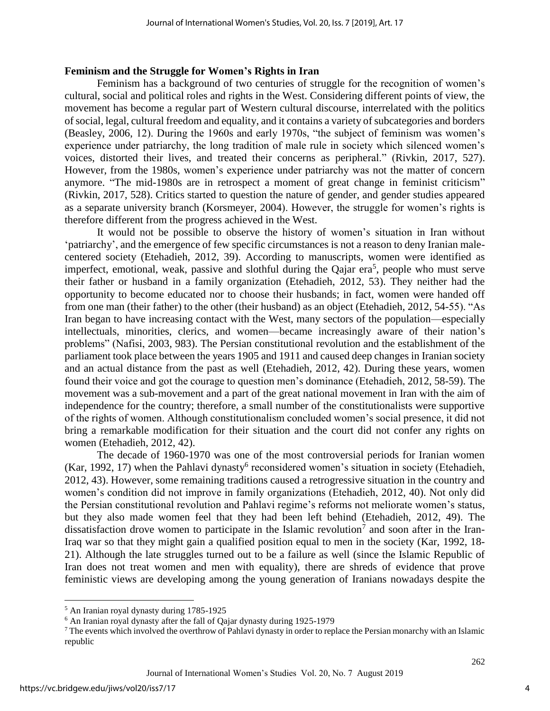#### **Feminism and the Struggle for Women's Rights in Iran**

Feminism has a background of two centuries of struggle for the recognition of women's cultural, social and political roles and rights in the West. Considering different points of view, the movement has become a regular part of Western cultural discourse, interrelated with the politics of social, legal, cultural freedom and equality, and it contains a variety of subcategories and borders (Beasley, 2006, 12). During the 1960s and early 1970s, "the subject of feminism was women's experience under patriarchy, the long tradition of male rule in society which silenced women's voices, distorted their lives, and treated their concerns as peripheral." (Rivkin, 2017, 527). However, from the 1980s, women's experience under patriarchy was not the matter of concern anymore. "The mid-1980s are in retrospect a moment of great change in feminist criticism" (Rivkin, 2017, 528). Critics started to question the nature of gender, and gender studies appeared as a separate university branch (Korsmeyer, 2004). However, the struggle for women's rights is therefore different from the progress achieved in the West.

It would not be possible to observe the history of women's situation in Iran without 'patriarchy', and the emergence of few specific circumstances is not a reason to deny Iranian malecentered society (Etehadieh, 2012, 39). According to manuscripts, women were identified as imperfect, emotional, weak, passive and slothful during the Qajar era<sup>5</sup>, people who must serve their father or husband in a family organization (Etehadieh, 2012, 53). They neither had the opportunity to become educated nor to choose their husbands; in fact, women were handed off from one man (their father) to the other (their husband) as an object (Etehadieh, 2012, 54-55). "As Iran began to have increasing contact with the West, many sectors of the population—especially intellectuals, minorities, clerics, and women—became increasingly aware of their nation's problems" (Nafisi, 2003, 983). The Persian constitutional revolution and the establishment of the parliament took place between the years 1905 and 1911 and caused deep changes in Iranian society and an actual distance from the past as well (Etehadieh, 2012, 42). During these years, women found their voice and got the courage to question men's dominance (Etehadieh, 2012, 58-59). The movement was a sub-movement and a part of the great national movement in Iran with the aim of independence for the country; therefore, a small number of the constitutionalists were supportive of the rights of women. Although constitutionalism concluded women's social presence, it did not bring a remarkable modification for their situation and the court did not confer any rights on women (Etehadieh, 2012, 42).

The decade of 1960-1970 was one of the most controversial periods for Iranian women (Kar, 1992, 17) when the Pahlavi dynasty<sup>6</sup> reconsidered women's situation in society (Etehadieh, 2012, 43). However, some remaining traditions caused a retrogressive situation in the country and women's condition did not improve in family organizations (Etehadieh, 2012, 40). Not only did the Persian constitutional revolution and Pahlavi regime's reforms not meliorate women's status, but they also made women feel that they had been left behind (Etehadieh, 2012, 49). The dissatisfaction drove women to participate in the Islamic revolution<sup>7</sup> and soon after in the Iran-Iraq war so that they might gain a qualified position equal to men in the society (Kar, 1992, 18- 21). Although the late struggles turned out to be a failure as well (since the Islamic Republic of Iran does not treat women and men with equality), there are shreds of evidence that prove feministic views are developing among the young generation of Iranians nowadays despite the

 $\overline{a}$ 

<sup>5</sup> An Iranian royal dynasty during 1785-1925

<sup>6</sup> An Iranian royal dynasty after the fall of Qajar dynasty during 1925-1979

<sup>7</sup> The events which involved the overthrow of Pahlavi dynasty in order to replace the Persian monarchy with an Islamic republic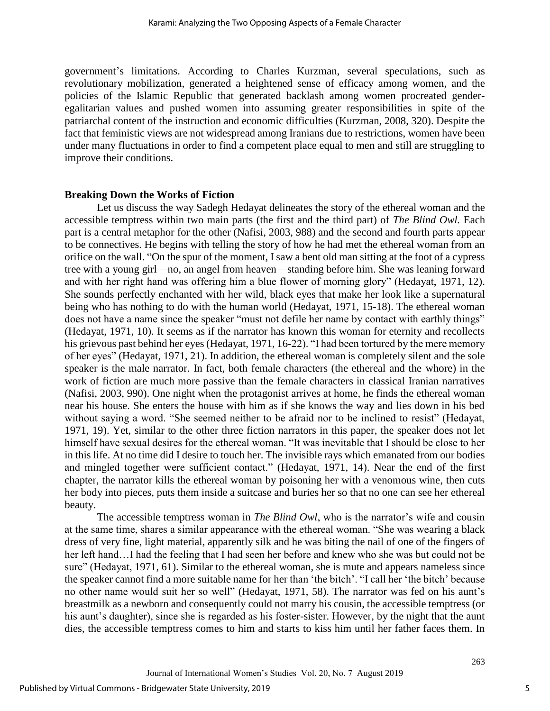government's limitations. According to Charles Kurzman, several speculations, such as revolutionary mobilization, generated a heightened sense of efficacy among women, and the policies of the Islamic Republic that generated backlash among women procreated genderegalitarian values and pushed women into assuming greater responsibilities in spite of the patriarchal content of the instruction and economic difficulties (Kurzman, 2008, 320). Despite the fact that feministic views are not widespread among Iranians due to restrictions, women have been under many fluctuations in order to find a competent place equal to men and still are struggling to improve their conditions.

#### **Breaking Down the Works of Fiction**

Let us discuss the way Sadegh Hedayat delineates the story of the ethereal woman and the accessible temptress within two main parts (the first and the third part) of *The Blind Owl.* Each part is a central metaphor for the other (Nafisi, 2003, 988) and the second and fourth parts appear to be connectives. He begins with telling the story of how he had met the ethereal woman from an orifice on the wall. "On the spur of the moment, I saw a bent old man sitting at the foot of a cypress tree with a young girl—no, an angel from heaven—standing before him. She was leaning forward and with her right hand was offering him a blue flower of morning glory" (Hedayat, 1971, 12). She sounds perfectly enchanted with her wild, black eyes that make her look like a supernatural being who has nothing to do with the human world (Hedayat, 1971, 15-18). The ethereal woman does not have a name since the speaker "must not defile her name by contact with earthly things" (Hedayat, 1971, 10). It seems as if the narrator has known this woman for eternity and recollects his grievous past behind her eyes (Hedayat, 1971, 16-22). "I had been tortured by the mere memory of her eyes" (Hedayat, 1971, 21). In addition, the ethereal woman is completely silent and the sole speaker is the male narrator. In fact, both female characters (the ethereal and the whore) in the work of fiction are much more passive than the female characters in classical Iranian narratives (Nafisi, 2003, 990). One night when the protagonist arrives at home, he finds the ethereal woman near his house. She enters the house with him as if she knows the way and lies down in his bed without saying a word. "She seemed neither to be afraid nor to be inclined to resist" (Hedayat, 1971, 19). Yet, similar to the other three fiction narrators in this paper, the speaker does not let himself have sexual desires for the ethereal woman. "It was inevitable that I should be close to her in this life. At no time did I desire to touch her. The invisible rays which emanated from our bodies and mingled together were sufficient contact." (Hedayat, 1971, 14). Near the end of the first chapter, the narrator kills the ethereal woman by poisoning her with a venomous wine, then cuts her body into pieces, puts them inside a suitcase and buries her so that no one can see her ethereal beauty.

The accessible temptress woman in *The Blind Owl*, who is the narrator's wife and cousin at the same time, shares a similar appearance with the ethereal woman. "She was wearing a black dress of very fine, light material, apparently silk and he was biting the nail of one of the fingers of her left hand…I had the feeling that I had seen her before and knew who she was but could not be sure" (Hedayat, 1971, 61). Similar to the ethereal woman, she is mute and appears nameless since the speaker cannot find a more suitable name for her than 'the bitch'. "I call her 'the bitch' because no other name would suit her so well" (Hedayat, 1971, 58). The narrator was fed on his aunt's breastmilk as a newborn and consequently could not marry his cousin, the accessible temptress (or his aunt's daughter), since she is regarded as his foster-sister. However, by the night that the aunt dies, the accessible temptress comes to him and starts to kiss him until her father faces them. In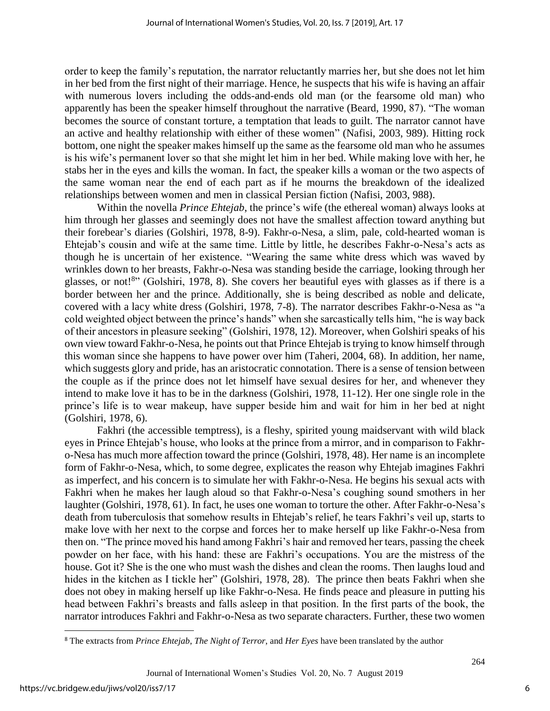order to keep the family's reputation, the narrator reluctantly marries her, but she does not let him in her bed from the first night of their marriage. Hence, he suspects that his wife is having an affair with numerous lovers including the odds-and-ends old man (or the fearsome old man) who apparently has been the speaker himself throughout the narrative (Beard, 1990, 87). "The woman becomes the source of constant torture, a temptation that leads to guilt. The narrator cannot have an active and healthy relationship with either of these women" (Nafisi, 2003, 989). Hitting rock bottom, one night the speaker makes himself up the same as the fearsome old man who he assumes is his wife's permanent lover so that she might let him in her bed. While making love with her, he stabs her in the eyes and kills the woman. In fact, the speaker kills a woman or the two aspects of the same woman near the end of each part as if he mourns the breakdown of the idealized relationships between women and men in classical Persian fiction (Nafisi, 2003, 988).

Within the novella *Prince Ehtejab*, the prince's wife (the ethereal woman) always looks at him through her glasses and seemingly does not have the smallest affection toward anything but their forebear's diaries (Golshiri, 1978, 8-9). Fakhr-o-Nesa, a slim, pale, cold-hearted woman is Ehtejab's cousin and wife at the same time. Little by little, he describes Fakhr-o-Nesa's acts as though he is uncertain of her existence. "Wearing the same white dress which was waved by wrinkles down to her breasts, Fakhr-o-Nesa was standing beside the carriage, looking through her glasses, or not!<sup>8</sup>" (Golshiri, 1978, 8). She covers her beautiful eyes with glasses as if there is a border between her and the prince. Additionally, she is being described as noble and delicate, covered with a lacy white dress (Golshiri, 1978, 7-8). The narrator describes Fakhr-o-Nesa as "a cold weighted object between the prince's hands" when she sarcastically tells him, "he is way back of their ancestors in pleasure seeking" (Golshiri, 1978, 12). Moreover, when Golshiri speaks of his own view toward Fakhr-o-Nesa, he points out that Prince Ehtejab is trying to know himself through this woman since she happens to have power over him (Taheri, 2004, 68). In addition, her name, which suggests glory and pride, has an aristocratic connotation. There is a sense of tension between the couple as if the prince does not let himself have sexual desires for her, and whenever they intend to make love it has to be in the darkness (Golshiri, 1978, 11-12). Her one single role in the prince's life is to wear makeup, have supper beside him and wait for him in her bed at night (Golshiri, 1978, 6).

Fakhri (the accessible temptress), is a fleshy, spirited young maidservant with wild black eyes in Prince Ehtejab's house, who looks at the prince from a mirror, and in comparison to Fakhro-Nesa has much more affection toward the prince (Golshiri, 1978, 48). Her name is an incomplete form of Fakhr-o-Nesa, which, to some degree, explicates the reason why Ehtejab imagines Fakhri as imperfect, and his concern is to simulate her with Fakhr-o-Nesa. He begins his sexual acts with Fakhri when he makes her laugh aloud so that Fakhr-o-Nesa's coughing sound smothers in her laughter (Golshiri, 1978, 61). In fact, he uses one woman to torture the other. After Fakhr-o-Nesa's death from tuberculosis that somehow results in Ehtejab's relief, he tears Fakhri's veil up, starts to make love with her next to the corpse and forces her to make herself up like Fakhr-o-Nesa from then on. "The prince moved his hand among Fakhri's hair and removed her tears, passing the cheek powder on her face, with his hand: these are Fakhri's occupations. You are the mistress of the house. Got it? She is the one who must wash the dishes and clean the rooms. Then laughs loud and hides in the kitchen as I tickle her" (Golshiri, 1978, 28). The prince then beats Fakhri when she does not obey in making herself up like Fakhr-o-Nesa. He finds peace and pleasure in putting his head between Fakhri's breasts and falls asleep in that position. In the first parts of the book, the narrator introduces Fakhri and Fakhr-o-Nesa as two separate characters. Further, these two women

 $\overline{\phantom{a}}$ 

<sup>8</sup> The extracts from *Prince Ehtejab*, *The Night of Terror*, and *Her Eyes* have been translated by the author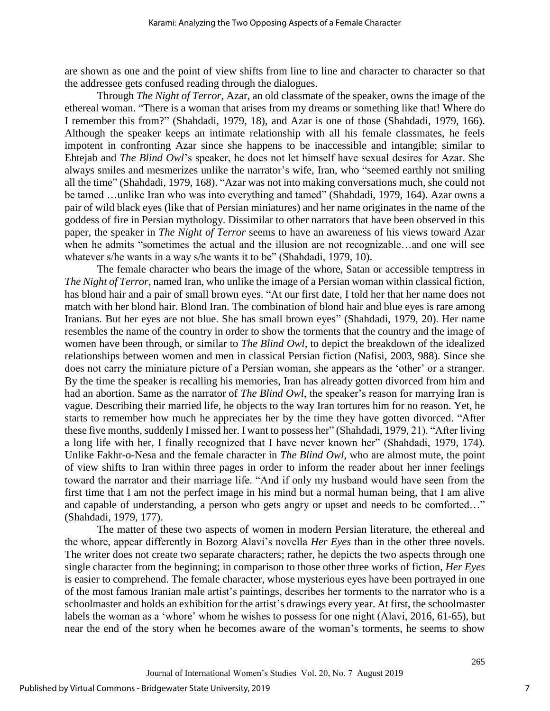are shown as one and the point of view shifts from line to line and character to character so that the addressee gets confused reading through the dialogues.

Through *The Night of Terror*, Azar, an old classmate of the speaker, owns the image of the ethereal woman. "There is a woman that arises from my dreams or something like that! Where do I remember this from?" (Shahdadi, 1979, 18), and Azar is one of those (Shahdadi, 1979, 166). Although the speaker keeps an intimate relationship with all his female classmates, he feels impotent in confronting Azar since she happens to be inaccessible and intangible; similar to Ehtejab and *The Blind Owl*'s speaker, he does not let himself have sexual desires for Azar. She always smiles and mesmerizes unlike the narrator's wife, Iran, who "seemed earthly not smiling all the time" (Shahdadi, 1979, 168). "Azar was not into making conversations much, she could not be tamed ...unlike Iran who was into everything and tamed" (Shahdadi, 1979, 164). Azar owns a pair of wild black eyes (like that of Persian miniatures) and her name originates in the name of the goddess of fire in Persian mythology. Dissimilar to other narrators that have been observed in this paper, the speaker in *The Night of Terror* seems to have an awareness of his views toward Azar when he admits "sometimes the actual and the illusion are not recognizable…and one will see whatever s/he wants in a way s/he wants it to be" (Shahdadi, 1979, 10).

The female character who bears the image of the whore, Satan or accessible temptress in *The Night of Terror*, named Iran, who unlike the image of a Persian woman within classical fiction, has blond hair and a pair of small brown eyes. "At our first date, I told her that her name does not match with her blond hair. Blond Iran. The combination of blond hair and blue eyes is rare among Iranians. But her eyes are not blue. She has small brown eyes" (Shahdadi, 1979, 20). Her name resembles the name of the country in order to show the torments that the country and the image of women have been through, or similar to *The Blind Owl*, to depict the breakdown of the idealized relationships between women and men in classical Persian fiction (Nafisi, 2003, 988). Since she does not carry the miniature picture of a Persian woman, she appears as the 'other' or a stranger. By the time the speaker is recalling his memories, Iran has already gotten divorced from him and had an abortion. Same as the narrator of *The Blind Owl*, the speaker's reason for marrying Iran is vague. Describing their married life, he objects to the way Iran tortures him for no reason. Yet, he starts to remember how much he appreciates her by the time they have gotten divorced. "After these five months, suddenly I missed her. I want to possess her" (Shahdadi, 1979, 21). "After living a long life with her, I finally recognized that I have never known her" (Shahdadi, 1979, 174). Unlike Fakhr-o-Nesa and the female character in *The Blind Owl,* who are almost mute, the point of view shifts to Iran within three pages in order to inform the reader about her inner feelings toward the narrator and their marriage life. "And if only my husband would have seen from the first time that I am not the perfect image in his mind but a normal human being, that I am alive and capable of understanding, a person who gets angry or upset and needs to be comforted…" (Shahdadi, 1979, 177).

The matter of these two aspects of women in modern Persian literature, the ethereal and the whore, appear differently in Bozorg Alavi's novella *Her Eyes* than in the other three novels. The writer does not create two separate characters; rather, he depicts the two aspects through one single character from the beginning; in comparison to those other three works of fiction, *Her Eyes* is easier to comprehend. The female character, whose mysterious eyes have been portrayed in one of the most famous Iranian male artist's paintings, describes her torments to the narrator who is a schoolmaster and holds an exhibition for the artist's drawings every year. At first, the schoolmaster labels the woman as a 'whore' whom he wishes to possess for one night (Alavi, 2016, 61-65), but near the end of the story when he becomes aware of the woman's torments, he seems to show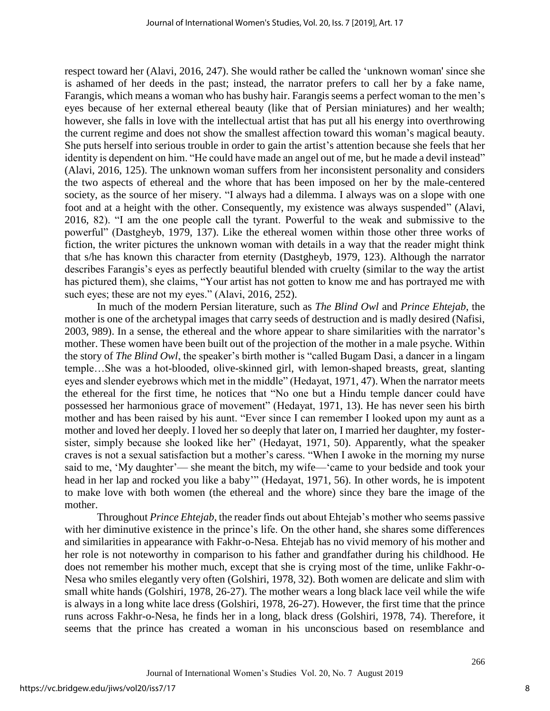respect toward her (Alavi, 2016, 247). She would rather be called the 'unknown woman' since she is ashamed of her deeds in the past; instead, the narrator prefers to call her by a fake name, Farangis, which means a woman who has bushy hair. Farangis seems a perfect woman to the men's eyes because of her external ethereal beauty (like that of Persian miniatures) and her wealth; however, she falls in love with the intellectual artist that has put all his energy into overthrowing the current regime and does not show the smallest affection toward this woman's magical beauty. She puts herself into serious trouble in order to gain the artist's attention because she feels that her identity is dependent on him. "He could have made an angel out of me, but he made a devil instead" (Alavi, 2016, 125). The unknown woman suffers from her inconsistent personality and considers the two aspects of ethereal and the whore that has been imposed on her by the male-centered society, as the source of her misery. "I always had a dilemma. I always was on a slope with one foot and at a height with the other. Consequently, my existence was always suspended" (Alavi, 2016, 82). "I am the one people call the tyrant. Powerful to the weak and submissive to the powerful" (Dastgheyb, 1979, 137). Like the ethereal women within those other three works of fiction, the writer pictures the unknown woman with details in a way that the reader might think that s/he has known this character from eternity (Dastgheyb, 1979, 123). Although the narrator describes Farangis's eyes as perfectly beautiful blended with cruelty (similar to the way the artist has pictured them), she claims, "Your artist has not gotten to know me and has portrayed me with such eyes; these are not my eyes." (Alavi, 2016, 252).

In much of the modern Persian literature, such as *The Blind Owl* and *Prince Ehtejab*, the mother is one of the archetypal images that carry seeds of destruction and is madly desired (Nafisi, 2003, 989). In a sense, the ethereal and the whore appear to share similarities with the narrator's mother. These women have been built out of the projection of the mother in a male psyche. Within the story of *The Blind Owl*, the speaker's birth mother is "called Bugam Dasi, a dancer in a lingam temple…She was a hot-blooded, olive-skinned girl, with lemon-shaped breasts, great, slanting eyes and slender eyebrows which met in the middle" (Hedayat, 1971, 47). When the narrator meets the ethereal for the first time, he notices that "No one but a Hindu temple dancer could have possessed her harmonious grace of movement" (Hedayat, 1971, 13). He has never seen his birth mother and has been raised by his aunt. "Ever since I can remember I looked upon my aunt as a mother and loved her deeply. I loved her so deeply that later on, I married her daughter, my fostersister, simply because she looked like her" (Hedayat, 1971, 50). Apparently, what the speaker craves is not a sexual satisfaction but a mother's caress. "When I awoke in the morning my nurse said to me, 'My daughter'— she meant the bitch, my wife—'came to your bedside and took your head in her lap and rocked you like a baby'" (Hedayat, 1971, 56). In other words, he is impotent to make love with both women (the ethereal and the whore) since they bare the image of the mother.

Throughout *Prince Ehtejab*, the reader finds out about Ehtejab's mother who seems passive with her diminutive existence in the prince's life. On the other hand, she shares some differences and similarities in appearance with Fakhr-o-Nesa. Ehtejab has no vivid memory of his mother and her role is not noteworthy in comparison to his father and grandfather during his childhood. He does not remember his mother much, except that she is crying most of the time, unlike Fakhr-o-Nesa who smiles elegantly very often (Golshiri, 1978, 32). Both women are delicate and slim with small white hands (Golshiri, 1978, 26-27). The mother wears a long black lace veil while the wife is always in a long white lace dress (Golshiri, 1978, 26-27). However, the first time that the prince runs across Fakhr-o-Nesa, he finds her in a long, black dress (Golshiri, 1978, 74). Therefore, it seems that the prince has created a woman in his unconscious based on resemblance and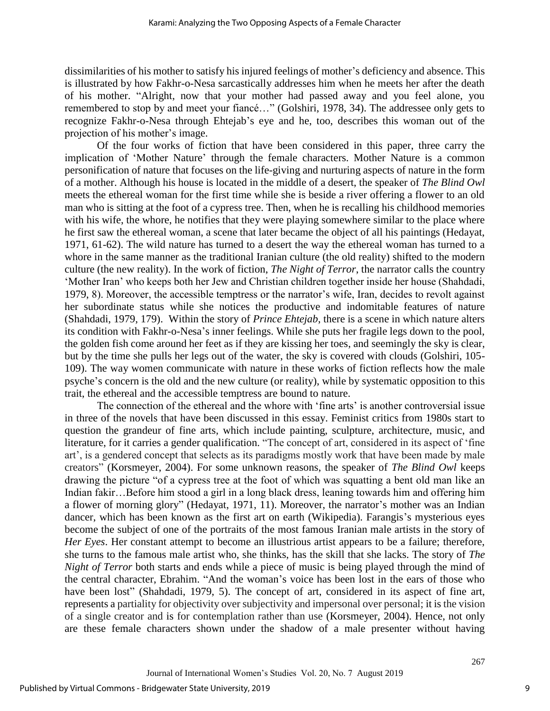dissimilarities of his mother to satisfy his injured feelings of mother's deficiency and absence. This is illustrated by how Fakhr-o-Nesa sarcastically addresses him when he meets her after the death of his mother. "Alright, now that your mother had passed away and you feel alone, you remembered to stop by and meet your fiancé…" (Golshiri, 1978, 34). The addressee only gets to recognize Fakhr-o-Nesa through Ehtejab's eye and he, too, describes this woman out of the projection of his mother's image.

Of the four works of fiction that have been considered in this paper, three carry the implication of 'Mother Nature' through the female characters. Mother Nature is a common personification of nature that focuses on the life-giving and nurturing aspects of nature in the form of a mother. Although his house is located in the middle of a desert, the speaker of *The Blind Owl* meets the ethereal woman for the first time while she is beside a river offering a flower to an old man who is sitting at the foot of a cypress tree. Then, when he is recalling his childhood memories with his wife, the whore, he notifies that they were playing somewhere similar to the place where he first saw the ethereal woman, a scene that later became the object of all his paintings (Hedayat, 1971, 61-62). The wild nature has turned to a desert the way the ethereal woman has turned to a whore in the same manner as the traditional Iranian culture (the old reality) shifted to the modern culture (the new reality). In the work of fiction, *The Night of Terror*, the narrator calls the country 'Mother Iran' who keeps both her Jew and Christian children together inside her house (Shahdadi, 1979, 8). Moreover, the accessible temptress or the narrator's wife, Iran, decides to revolt against her subordinate status while she notices the productive and indomitable features of nature (Shahdadi, 1979, 179). Within the story of *Prince Ehtejab*, there is a scene in which nature alters its condition with Fakhr-o-Nesa's inner feelings. While she puts her fragile legs down to the pool, the golden fish come around her feet as if they are kissing her toes, and seemingly the sky is clear, but by the time she pulls her legs out of the water, the sky is covered with clouds (Golshiri, 105- 109). The way women communicate with nature in these works of fiction reflects how the male psyche's concern is the old and the new culture (or reality), while by systematic opposition to this trait, the ethereal and the accessible temptress are bound to nature.

The connection of the ethereal and the whore with 'fine arts' is another controversial issue in three of the novels that have been discussed in this essay. Feminist critics from 1980s start to question the grandeur of fine arts, which include painting, sculpture, architecture, music, and literature, for it carries a gender qualification. "The concept of art, considered in its aspect of 'fine art', is a gendered concept that selects as its paradigms mostly work that have been made by male creators" (Korsmeyer, 2004). For some unknown reasons, the speaker of *The Blind Owl* keeps drawing the picture "of a cypress tree at the foot of which was squatting a bent old man like an Indian fakir…Before him stood a girl in a long black dress, leaning towards him and offering him a flower of morning glory" (Hedayat, 1971, 11). Moreover, the narrator's mother was an Indian dancer, which has been known as the first art on earth (Wikipedia). Farangis's mysterious eyes become the subject of one of the portraits of the most famous Iranian male artists in the story of *Her Eyes*. Her constant attempt to become an illustrious artist appears to be a failure; therefore, she turns to the famous male artist who, she thinks, has the skill that she lacks. The story of *The Night of Terror* both starts and ends while a piece of music is being played through the mind of the central character, Ebrahim. "And the woman's voice has been lost in the ears of those who have been lost" (Shahdadi, 1979, 5). The concept of art, considered in its aspect of fine art, represents a partiality for objectivity over subjectivity and impersonal over personal; it is the vision of a single creator and is for contemplation rather than use (Korsmeyer, 2004). Hence, not only are these female characters shown under the shadow of a male presenter without having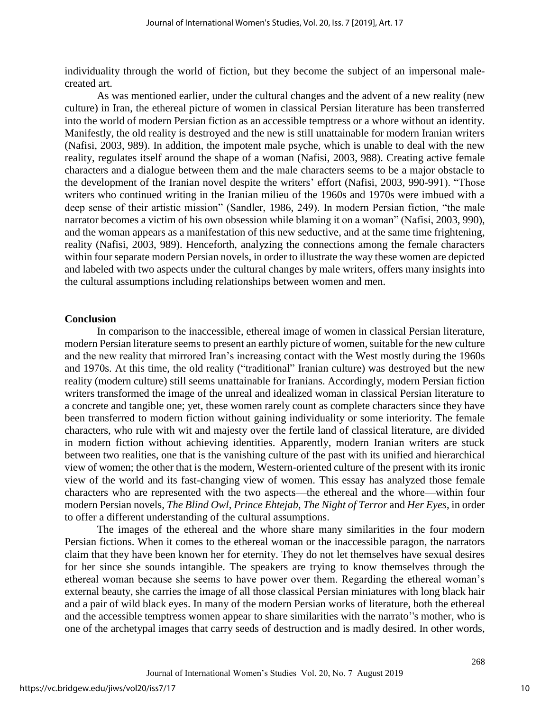individuality through the world of fiction, but they become the subject of an impersonal malecreated art.

As was mentioned earlier, under the cultural changes and the advent of a new reality (new culture) in Iran, the ethereal picture of women in classical Persian literature has been transferred into the world of modern Persian fiction as an accessible temptress or a whore without an identity. Manifestly, the old reality is destroyed and the new is still unattainable for modern Iranian writers (Nafisi, 2003, 989). In addition, the impotent male psyche, which is unable to deal with the new reality, regulates itself around the shape of a woman (Nafisi, 2003, 988). Creating active female characters and a dialogue between them and the male characters seems to be a major obstacle to the development of the Iranian novel despite the writers' effort (Nafisi, 2003, 990-991). "Those writers who continued writing in the Iranian milieu of the 1960s and 1970s were imbued with a deep sense of their artistic mission" (Sandler, 1986, 249). In modern Persian fiction, "the male narrator becomes a victim of his own obsession while blaming it on a woman" (Nafisi, 2003, 990), and the woman appears as a manifestation of this new seductive, and at the same time frightening, reality (Nafisi, 2003, 989). Henceforth, analyzing the connections among the female characters within four separate modern Persian novels, in order to illustrate the way these women are depicted and labeled with two aspects under the cultural changes by male writers, offers many insights into the cultural assumptions including relationships between women and men.

#### **Conclusion**

In comparison to the inaccessible, ethereal image of women in classical Persian literature, modern Persian literature seems to present an earthly picture of women, suitable for the new culture and the new reality that mirrored Iran's increasing contact with the West mostly during the 1960s and 1970s. At this time, the old reality ("traditional" Iranian culture) was destroyed but the new reality (modern culture) still seems unattainable for Iranians. Accordingly, modern Persian fiction writers transformed the image of the unreal and idealized woman in classical Persian literature to a concrete and tangible one; yet, these women rarely count as complete characters since they have been transferred to modern fiction without gaining individuality or some interiority. The female characters, who rule with wit and majesty over the fertile land of classical literature, are divided in modern fiction without achieving identities. Apparently, modern Iranian writers are stuck between two realities, one that is the vanishing culture of the past with its unified and hierarchical view of women; the other that is the modern, Western-oriented culture of the present with its ironic view of the world and its fast-changing view of women. This essay has analyzed those female characters who are represented with the two aspects—the ethereal and the whore—within four modern Persian novels, *The Blind Owl*, *Prince Ehtejab*, *The Night of Terror* and *Her Eyes*, in order to offer a different understanding of the cultural assumptions.

The images of the ethereal and the whore share many similarities in the four modern Persian fictions. When it comes to the ethereal woman or the inaccessible paragon, the narrators claim that they have been known her for eternity. They do not let themselves have sexual desires for her since she sounds intangible. The speakers are trying to know themselves through the ethereal woman because she seems to have power over them. Regarding the ethereal woman's external beauty, she carries the image of all those classical Persian miniatures with long black hair and a pair of wild black eyes. In many of the modern Persian works of literature, both the ethereal and the accessible temptress women appear to share similarities with the narrato''s mother, who is one of the archetypal images that carry seeds of destruction and is madly desired. In other words,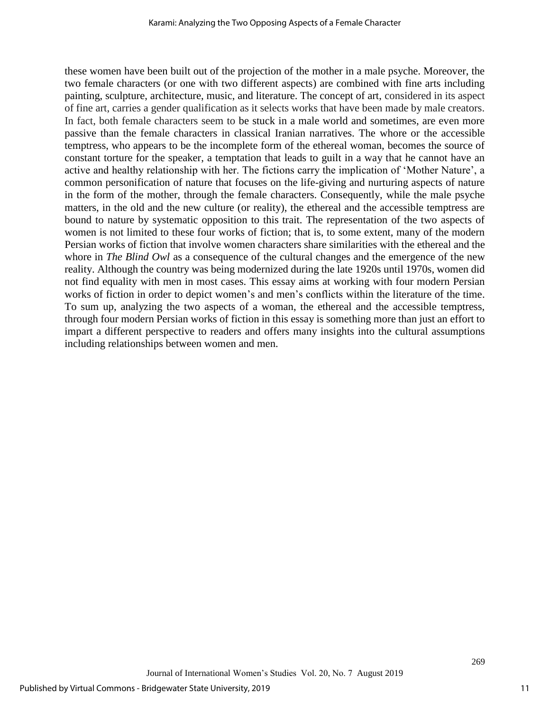these women have been built out of the projection of the mother in a male psyche. Moreover, the two female characters (or one with two different aspects) are combined with fine arts including painting, sculpture, architecture, music, and literature. The concept of art, considered in its aspect of fine art, carries a gender qualification as it selects works that have been made by male creators. In fact, both female characters seem to be stuck in a male world and sometimes, are even more passive than the female characters in classical Iranian narratives. The whore or the accessible temptress, who appears to be the incomplete form of the ethereal woman, becomes the source of constant torture for the speaker, a temptation that leads to guilt in a way that he cannot have an active and healthy relationship with her. The fictions carry the implication of 'Mother Nature', a common personification of nature that focuses on the life-giving and nurturing aspects of nature in the form of the mother, through the female characters. Consequently, while the male psyche matters, in the old and the new culture (or reality), the ethereal and the accessible temptress are bound to nature by systematic opposition to this trait. The representation of the two aspects of women is not limited to these four works of fiction; that is, to some extent, many of the modern Persian works of fiction that involve women characters share similarities with the ethereal and the whore in *The Blind Owl* as a consequence of the cultural changes and the emergence of the new reality. Although the country was being modernized during the late 1920s until 1970s, women did not find equality with men in most cases. This essay aims at working with four modern Persian works of fiction in order to depict women's and men's conflicts within the literature of the time. To sum up, analyzing the two aspects of a woman, the ethereal and the accessible temptress, through four modern Persian works of fiction in this essay is something more than just an effort to impart a different perspective to readers and offers many insights into the cultural assumptions including relationships between women and men.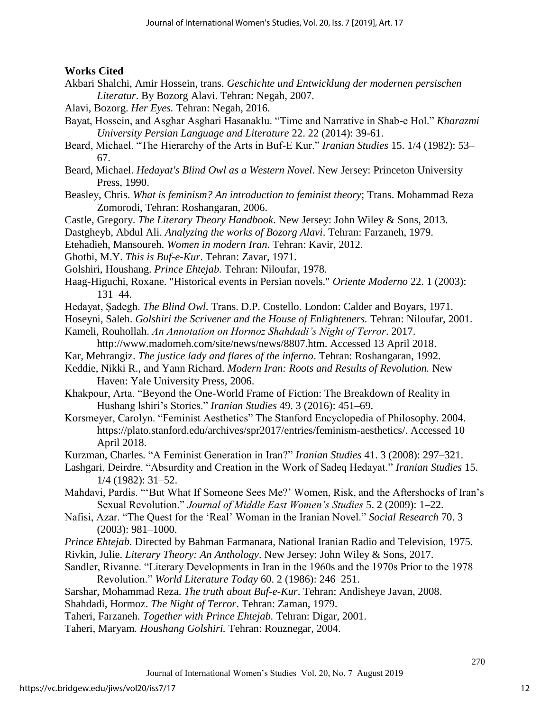#### **Works Cited**

- Akbari Shalchi, Amir Hossein, trans. *Geschichte und Entwicklung der modernen persischen Literatur*. By Bozorg Alavi. Tehran: Negah, 2007.
- Alavi, Bozorg. *Her Eyes.* Tehran: Negah, 2016.
- Bayat, Hossein, and Asghar Asghari Hasanaklu. "Time and Narrative in Shab-e Hol." *Kharazmi University Persian Language and Literature* 22. 22 (2014): 39-61.
- Beard, Michael. "The Hierarchy of the Arts in Buf-E Kur." *Iranian Studies* 15. 1/4 (1982): 53– 67.
- Beard, Michael. *Hedayat's Blind Owl as a Western Novel*. New Jersey: Princeton University Press, 1990.
- Beasley, Chris. *What is feminism? An introduction to feminist theory*; Trans. Mohammad Reza Zomorodi, Tehran: Roshangaran, 2006.
- Castle, Gregory. *The Literary Theory Handbook*. New Jersey: John Wiley & Sons, 2013.
- Dastgheyb, Abdul Ali. *Analyzing the works of Bozorg Alavi*. Tehran: Farzaneh, 1979.
- Etehadieh, Mansoureh. *Women in modern Iran*. Tehran: Kavir, 2012.
- Ghotbi, M.Y. *This is Buf-e-Kur*. Tehran: Zavar, 1971.
- Golshiri, Houshang. *Prince Ehtejab.* Tehran: Niloufar, 1978.
- Haag-Higuchi, Roxane. "Historical events in Persian novels." *Oriente Moderno* 22. 1 (2003): 131–44.
- Hedayat, Ṣadegh. *The Blind Owl.* Trans. D.P. Costello. London: Calder and Boyars, 1971.
- Hoseyni, Saleh. *Golshiri the Scrivener and the House of Enlighteners.* Tehran: Niloufar, 2001.
- Kameli, Rouhollah. *An Annotation on Hormoz Shahdadi's Night of Terror*. 2017.
	- http://www.madomeh.com/site/news/news/8807.htm. Accessed 13 April 2018.
- Kar, Mehrangiz. *The justice lady and flares of the inferno*. Tehran: Roshangaran, 1992.
- Keddie, Nikki R., and Yann Richard. *Modern Iran: Roots and Results of Revolution.* New Haven: Yale University Press, 2006.
- Khakpour, Arta. "Beyond the One-World Frame of Fiction: The Breakdown of Reality in Hushang lshiri's Stories." *Iranian Studies* 49. 3 (2016): 451–69.
- Korsmeyer, Carolyn. "Feminist Aesthetics" The Stanford Encyclopedia of Philosophy. 2004. https://plato.stanford.edu/archives/spr2017/entries/feminism-aesthetics/. Accessed 10 April 2018.
- Kurzman, Charles*.* "A Feminist Generation in Iran?" *Iranian Studies* 41. 3 (2008): 297–321.
- Lashgari, Deirdre. "Absurdity and Creation in the Work of Sadeq Hedayat." *Iranian Studies* 15. 1/4 (1982): 31–52.
- Mahdavi, Pardis. "'But What If Someone Sees Me?' Women, Risk, and the Aftershocks of Iran's Sexual Revolution." *Journal of Middle East Women's Studies* 5. 2 (2009): 1–22.
- Nafisi, Azar. "The Quest for the 'Real' Woman in the Iranian Novel." *Social Research* 70. 3 (2003): 981–1000.
- *Prince Ehtejab*. Directed by Bahman Farmanara, National Iranian Radio and Television, 1975.
- Rivkin, Julie. *Literary Theory: An Anthology*. New Jersey: John Wiley & Sons, 2017.
- Sandler, Rivanne. "Literary Developments in Iran in the 1960s and the 1970s Prior to the 1978 Revolution." *World Literature Today* 60. 2 (1986): 246–251.
- Sarshar, Mohammad Reza. *The truth about Buf-e-Kur*. Tehran: Andisheye Javan, 2008. Shahdadi, Hormoz. *The Night of Terror*. Tehran: Zaman, 1979.
- Taheri, Farzaneh. *Together with Prince Ehtejab.* Tehran: Digar, 2001.
- Taheri, Maryam*. Houshang Golshiri.* Tehran: Rouznegar, 2004.